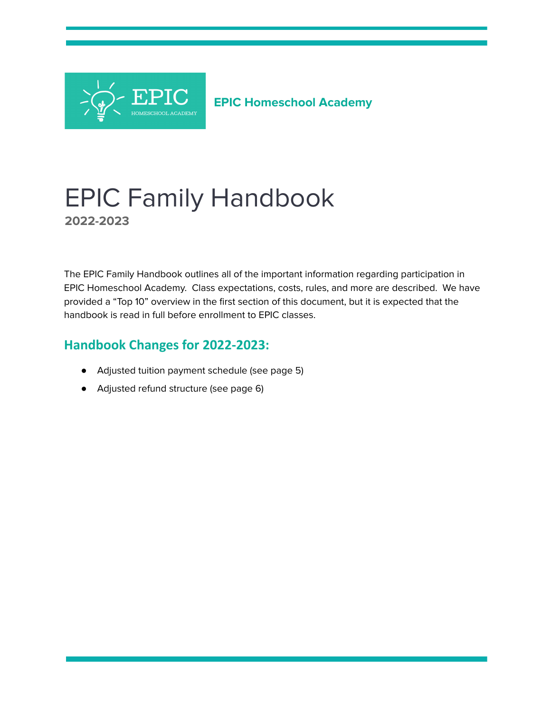

# EPIC Family Handbook **2022-2023**

The EPIC Family Handbook outlines all of the important information regarding participation in EPIC Homeschool Academy. Class expectations, costs, rules, and more are described. We have provided a "Top 10" overview in the first section of this document, but it is expected that the handbook is read in full before enrollment to EPIC classes.

## **Handbook Changes for 2022-2023:**

- Adjusted tuition payment schedule (see page 5)
- Adjusted refund structure (see page 6)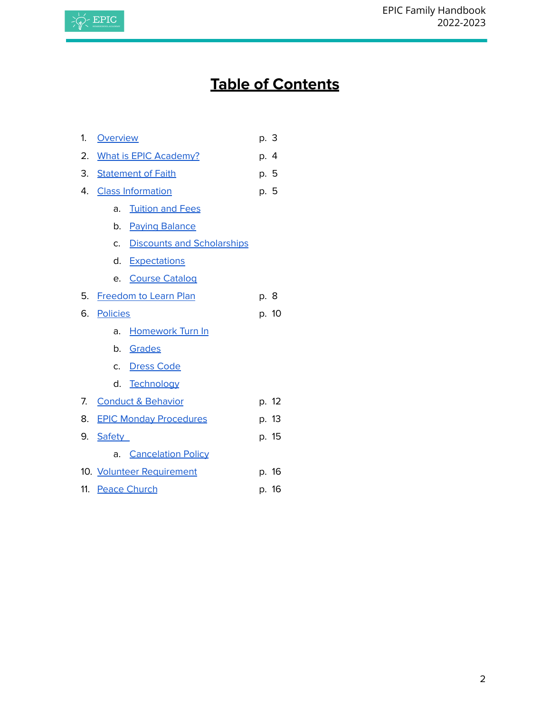

# **Table of Contents**

| 1. | <b>Overview</b>               |                                   | p. 3 |       |
|----|-------------------------------|-----------------------------------|------|-------|
| 2. | <b>What is EPIC Academy?</b>  |                                   | p. 4 |       |
|    | 3. Statement of Faith         |                                   | p. 5 |       |
| 4. | <b>Class Information</b>      |                                   |      | p. 5  |
|    | a.                            | <b>Tuition and Fees</b>           |      |       |
|    |                               | b. Paying Balance                 |      |       |
|    | C.                            | <b>Discounts and Scholarships</b> |      |       |
|    | d.                            | <b>Expectations</b>               |      |       |
|    | e.                            | <b>Course Catalog</b>             |      |       |
|    | 5. Freedom to Learn Plan      |                                   | p. 8 |       |
| 6. | <b>Policies</b>               |                                   |      | p. 10 |
|    | a.                            | <b>Homework Turn In</b>           |      |       |
|    |                               | b. Grades                         |      |       |
|    | C <sub>1</sub>                | <b>Dress Code</b>                 |      |       |
|    | d.                            | Technology                        |      |       |
| 7. |                               | <b>Conduct &amp; Behavior</b>     |      | p. 12 |
| 8. | <b>EPIC Monday Procedures</b> |                                   |      | p. 13 |
| 9. | Safety                        |                                   |      | p. 15 |
|    | а.                            | <b>Cancelation Policy</b>         |      |       |
|    |                               | 10. Volunteer Requirement         |      | p. 16 |
|    |                               | 11. Peace Church                  |      | p. 16 |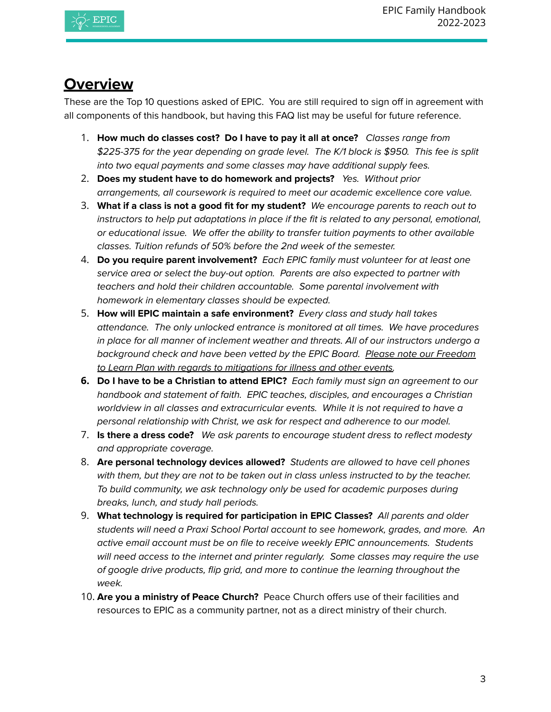

## **Overview**

<span id="page-2-0"></span>These are the Top 10 questions asked of EPIC. You are still required to sign off in agreement with all components of this handbook, but having this FAQ list may be useful for future reference.

- 1. **How much do classes cost? Do I have to pay it all at once?** Classes range from \$225-375 for the year depending on grade level. The K/1 block is \$950. This fee is split into two equal payments and some classes may have additional supply fees.
- 2. **Does my student have to do homework and projects?** Yes. Without prior arrangements, all coursework is required to meet our academic excellence core value.
- 3. **What if a class is not a good fit for my student?** We encourage parents to reach out to instructors to help put adaptations in place if the fit is related to any personal, emotional, or educational issue. We offer the ability to transfer tuition payments to other available classes. Tuition refunds of 50% before the 2nd week of the semester.
- 4. **Do you require parent involvement?** Each EPIC family must volunteer for at least one service area or select the buy-out option. Parents are also expected to partner with teachers and hold their children accountable. Some parental involvement with homework in elementary classes should be expected.
- 5. **How will EPIC maintain a safe environment?** Every class and study hall takes attendance. The only unlocked entrance is monitored at all times. We have procedures in place for all manner of inclement weather and threats. All of our instructors undergo a background check and have been vetted by the EPIC Board. Please note our Freedom to Learn Plan with regards to mitigations for illness and other events.
- **6. Do I have to be a Christian to attend EPIC?** Each family must sign an agreement to our handbook and statement of faith. EPIC teaches, disciples, and encourages a Christian worldview in all classes and extracurricular events. While it is not required to have a personal relationship with Christ, we ask for respect and adherence to our model.
- 7. **Is there a dress code?** We ask parents to encourage student dress to reflect modesty and appropriate coverage.
- 8. **Are personal technology devices allowed?** Students are allowed to have cell phones with them, but they are not to be taken out in class unless instructed to by the teacher. To build community, we ask technology only be used for academic purposes during breaks, lunch, and study hall periods.
- 9. **What technology is required for participation in EPIC Classes?** All parents and older students will need a Praxi School Portal account to see homework, grades, and more. An active email account must be on file to receive weekly EPIC announcements. Students will need access to the internet and printer regularly. Some classes may require the use of google drive products, flip grid, and more to continue the learning throughout the week.
- 10. **Are you a ministry of Peace Church?** Peace Church offers use of their facilities and resources to EPIC as a community partner, not as a direct ministry of their church.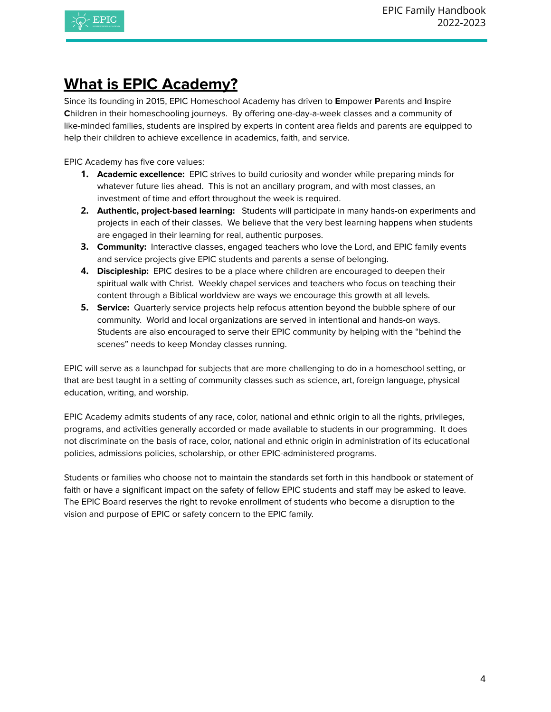

# <span id="page-3-0"></span>**What is EPIC Academy?**

Since its founding in 2015, EPIC Homeschool Academy has driven to **E**mpower **P**arents and **I**nspire **C**hildren in their homeschooling journeys. By offering one-day-a-week classes and a community of like-minded families, students are inspired by experts in content area fields and parents are equipped to help their children to achieve excellence in academics, faith, and service.

EPIC Academy has five core values:

- **1. Academic excellence:** EPIC strives to build curiosity and wonder while preparing minds for whatever future lies ahead. This is not an ancillary program, and with most classes, an investment of time and effort throughout the week is required.
- **2. Authentic, project-based learning:** Students will participate in many hands-on experiments and projects in each of their classes. We believe that the very best learning happens when students are engaged in their learning for real, authentic purposes.
- **3. Community:** Interactive classes, engaged teachers who love the Lord, and EPIC family events and service projects give EPIC students and parents a sense of belonging.
- **4. Discipleship:** EPIC desires to be a place where children are encouraged to deepen their spiritual walk with Christ. Weekly chapel services and teachers who focus on teaching their content through a Biblical worldview are ways we encourage this growth at all levels.
- **5. Service:** Quarterly service projects help refocus attention beyond the bubble sphere of our community. World and local organizations are served in intentional and hands-on ways. Students are also encouraged to serve their EPIC community by helping with the "behind the scenes" needs to keep Monday classes running.

EPIC will serve as a launchpad for subjects that are more challenging to do in a homeschool setting, or that are best taught in a setting of community classes such as science, art, foreign language, physical education, writing, and worship.

EPIC Academy admits students of any race, color, national and ethnic origin to all the rights, privileges, programs, and activities generally accorded or made available to students in our programming. It does not discriminate on the basis of race, color, national and ethnic origin in administration of its educational policies, admissions policies, scholarship, or other EPIC-administered programs.

Students or families who choose not to maintain the standards set forth in this handbook or statement of faith or have a significant impact on the safety of fellow EPIC students and staff may be asked to leave. The EPIC Board reserves the right to revoke enrollment of students who become a disruption to the vision and purpose of EPIC or safety concern to the EPIC family.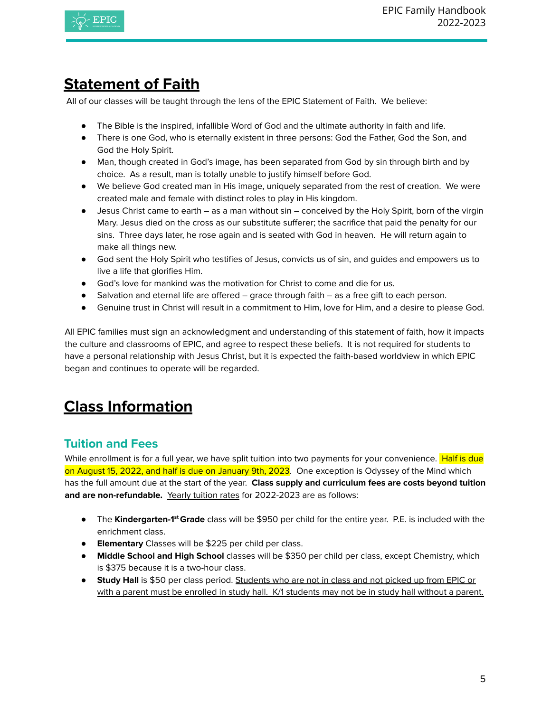

# <span id="page-4-0"></span>**Statement of Faith**

All of our classes will be taught through the lens of the EPIC Statement of Faith. We believe:

- The Bible is the inspired, infallible Word of God and the ultimate authority in faith and life.
- There is one God, who is eternally existent in three persons: God the Father, God the Son, and God the Holy Spirit.
- Man, though created in God's image, has been separated from God by sin through birth and by choice. As a result, man is totally unable to justify himself before God.
- We believe God created man in His image, uniquely separated from the rest of creation. We were created male and female with distinct roles to play in His kingdom.
- Jesus Christ came to earth as a man without sin conceived by the Holy Spirit, born of the virgin Mary. Jesus died on the cross as our substitute sufferer; the sacrifice that paid the penalty for our sins. Three days later, he rose again and is seated with God in heaven. He will return again to make all things new.
- God sent the Holy Spirit who testifies of Jesus, convicts us of sin, and quides and empowers us to live a life that glorifies Him.
- God's love for mankind was the motivation for Christ to come and die for us.
- Salvation and eternal life are offered grace through faith as a free gift to each person.
- Genuine trust in Christ will result in a commitment to Him, love for Him, and a desire to please God.

All EPIC families must sign an acknowledgment and understanding of this statement of faith, how it impacts the culture and classrooms of EPIC, and agree to respect these beliefs. It is not required for students to have a personal relationship with Jesus Christ, but it is expected the faith-based worldview in which EPIC began and continues to operate will be regarded.

# <span id="page-4-1"></span>**Class Information**

## <span id="page-4-2"></span>**Tuition and Fees**

While enrollment is for a full year, we have split tuition into two payments for your convenience. Half is due on August 15, 2022, and half is due on January 9th, 2023. One exception is Odyssey of the Mind which has the full amount due at the start of the year. **Class supply and curriculum fees are costs beyond tuition and are non-refundable.** Yearly tuition rates for 2022-2023 are as follows:

- The **Kindergarten-1 st Grade** class will be \$950 per child for the entire year. P.E. is included with the enrichment class.
- **Elementary** Classes will be \$225 per child per class.
- **Middle School and High School** classes will be \$350 per child per class, except Chemistry, which is \$375 because it is a two-hour class.
- **● Study Hall** is \$50 per class period. Students who are not in class and not picked up from EPIC or with a parent must be enrolled in study hall. K/1 students may not be in study hall without a parent.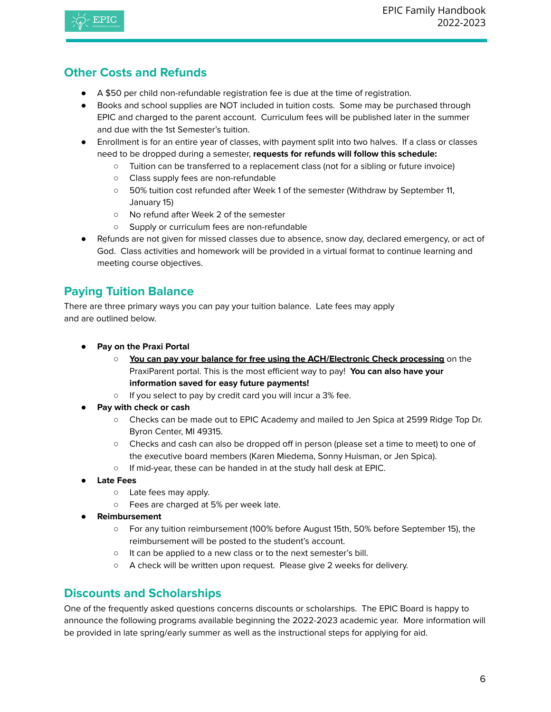## **Other Costs and Refunds**

- A \$50 per child non-refundable registration fee is due at the time of registration.
- Books and school supplies are NOT included in tuition costs. Some may be purchased through EPIC and charged to the parent account. Curriculum fees will be published later in the summer and due with the 1st Semester's tuition.
- Enrollment is for an entire year of classes, with payment split into two halves. If a class or classes need to be dropped during a semester, **requests for refunds will follow this schedule:**
	- Tuition can be transferred to a replacement class (not for a sibling or future invoice)
	- Class supply fees are non-refundable
	- 50% tuition cost refunded after Week 1 of the semester (Withdraw by September 11, January 15)
	- No refund after Week 2 of the semester
	- Supply or curriculum fees are non-refundable
- Refunds are not given for missed classes due to absence, snow day, declared emergency, or act of God. Class activities and homework will be provided in a virtual format to continue learning and meeting course objectives.

## **Paying Tuition Balance**

<span id="page-5-0"></span>There are three primary ways you can pay your tuition balance. Late fees may apply and are outlined below.

- **● Pay on the Praxi Portal**
	- **You can pay your balance for free using the ACH/Electronic Check processing** on the PraxiParent portal. This is the most efficient way to pay! **You can also have your information saved for easy future payments!**
	- If you select to pay by credit card you will incur a 3% fee.
- **Pay with check or cash**
	- Checks can be made out to EPIC Academy and mailed to Jen Spica at 2599 Ridge Top Dr. Byron Center, MI 49315.
	- Checks and cash can also be dropped off in person (please set a time to meet) to one of the executive board members (Karen Miedema, Sonny Huisman, or Jen Spica).
	- If mid-year, these can be handed in at the study hall desk at EPIC.
- **Late Fees**
	- Late fees may apply.
	- Fees are charged at 5% per week late.
- **Reimbursement**
	- For any tuition reimbursement (100% before August 15th, 50% before September 15), the reimbursement will be posted to the student's account.
	- It can be applied to a new class or to the next semester's bill.
	- A check will be written upon request. Please give 2 weeks for delivery.

### **Discounts and Scholarships**

<span id="page-5-1"></span>One of the frequently asked questions concerns discounts or scholarships. The EPIC Board is happy to announce the following programs available beginning the 2022-2023 academic year. More information will be provided in late spring/early summer as well as the instructional steps for applying for aid.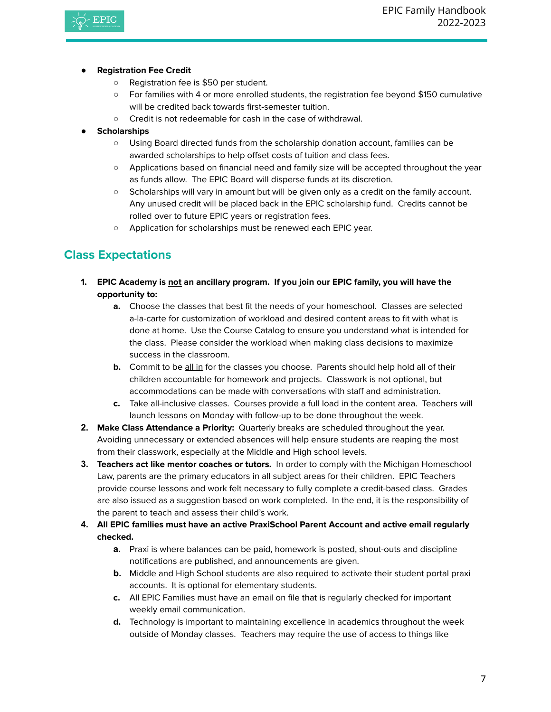

#### ● **Registration Fee Credit**

- Registration fee is \$50 per student.
- For families with 4 or more enrolled students, the registration fee beyond \$150 cumulative will be credited back towards first-semester tuition.
- Credit is not redeemable for cash in the case of withdrawal.
- **Scholarships** 
	- Using Board directed funds from the scholarship donation account, families can be awarded scholarships to help offset costs of tuition and class fees.
	- Applications based on financial need and family size will be accepted throughout the year as funds allow. The EPIC Board will disperse funds at its discretion.
	- Scholarships will vary in amount but will be given only as a credit on the family account. Any unused credit will be placed back in the EPIC scholarship fund. Credits cannot be rolled over to future EPIC years or registration fees.
	- Application for scholarships must be renewed each EPIC year.

## <span id="page-6-0"></span>**Class Expectations**

- **1. EPIC Academy is not an ancillary program. If you join our EPIC family, you will have the opportunity to:**
	- **a.** Choose the classes that best fit the needs of your homeschool. Classes are selected a-la-carte for customization of workload and desired content areas to fit with what is done at home. Use the Course Catalog to ensure you understand what is intended for the class. Please consider the workload when making class decisions to maximize success in the classroom.
	- **b.** Commit to be all in for the classes you choose. Parents should help hold all of their children accountable for homework and projects. Classwork is not optional, but accommodations can be made with conversations with staff and administration.
	- **c.** Take all-inclusive classes. Courses provide a full load in the content area. Teachers will launch lessons on Monday with follow-up to be done throughout the week.
- **2. Make Class Attendance a Priority:** Quarterly breaks are scheduled throughout the year. Avoiding unnecessary or extended absences will help ensure students are reaping the most from their classwork, especially at the Middle and High school levels.
- **3. Teachers act like mentor coaches or tutors.** In order to comply with the Michigan Homeschool Law, parents are the primary educators in all subject areas for their children. EPIC Teachers provide course lessons and work felt necessary to fully complete a credit-based class. Grades are also issued as a suggestion based on work completed. In the end, it is the responsibility of the parent to teach and assess their child's work.
- **4. All EPIC families must have an active PraxiSchool Parent Account and active email regularly checked.**
	- **a.** Praxi is where balances can be paid, homework is posted, shout-outs and discipline notifications are published, and announcements are given.
	- **b.** Middle and High School students are also required to activate their student portal praxi accounts. It is optional for elementary students.
	- **c.** All EPIC Families must have an email on file that is regularly checked for important weekly email communication.
	- **d.** Technology is important to maintaining excellence in academics throughout the week outside of Monday classes. Teachers may require the use of access to things like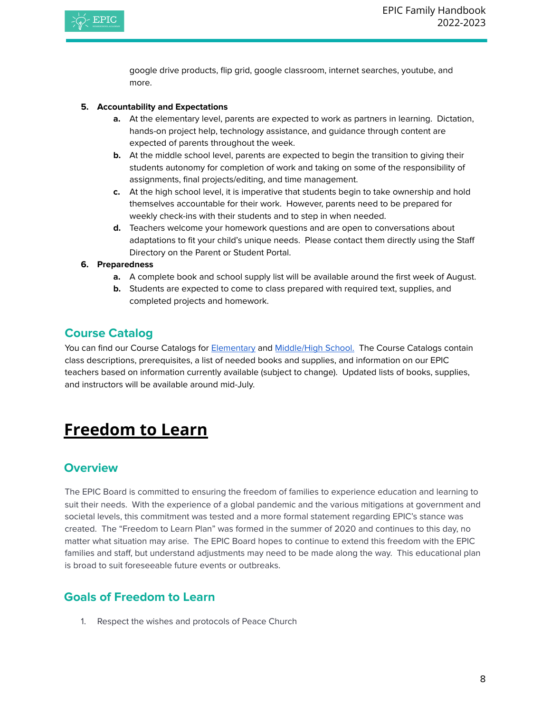

google drive products, flip grid, google classroom, internet searches, youtube, and more.

#### **5. Accountability and Expectations**

- **a.** At the elementary level, parents are expected to work as partners in learning. Dictation, hands-on project help, technology assistance, and guidance through content are expected of parents throughout the week.
- **b.** At the middle school level, parents are expected to begin the transition to giving their students autonomy for completion of work and taking on some of the responsibility of assignments, final projects/editing, and time management.
- **c.** At the high school level, it is imperative that students begin to take ownership and hold themselves accountable for their work. However, parents need to be prepared for weekly check-ins with their students and to step in when needed.
- **d.** Teachers welcome your homework questions and are open to conversations about adaptations to fit your child's unique needs. Please contact them directly using the Staff Directory on the Parent or Student Portal.

#### **6. Preparedness**

- **a.** A complete book and school supply list will be available around the first week of August.
- **b.** Students are expected to come to class prepared with required text, supplies, and completed projects and homework.

## **Course Catalog**

<span id="page-7-0"></span>You can find our Course Catalogs for [Elementary](https://docs.google.com/document/d/1fh3dcjTT-ScgAo-5oVlhmfv3JTaiyG8m_8rrEmsDpkg/edit?usp=sharing) and [Middle/High](https://docs.google.com/document/d/18CK3auD4_P5yCioELdH1kupAdMEosPSiPKjavhqHnvg/edit?usp=sharing) School. The Course Catalogs contain class descriptions, prerequisites, a list of needed books and supplies, and information on our EPIC teachers based on information currently available (subject to change). Updated lists of books, supplies, and instructors will be available around mid-July.

# <span id="page-7-1"></span>**Freedom to Learn**

### **Overview**

The EPIC Board is committed to ensuring the freedom of families to experience education and learning to suit their needs. With the experience of a global pandemic and the various mitigations at government and societal levels, this commitment was tested and a more formal statement regarding EPIC's stance was created. The "Freedom to Learn Plan" was formed in the summer of 2020 and continues to this day, no matter what situation may arise. The EPIC Board hopes to continue to extend this freedom with the EPIC families and staff, but understand adjustments may need to be made along the way. This educational plan is broad to suit foreseeable future events or outbreaks.

## **Goals of Freedom to Learn**

1. Respect the wishes and protocols of Peace Church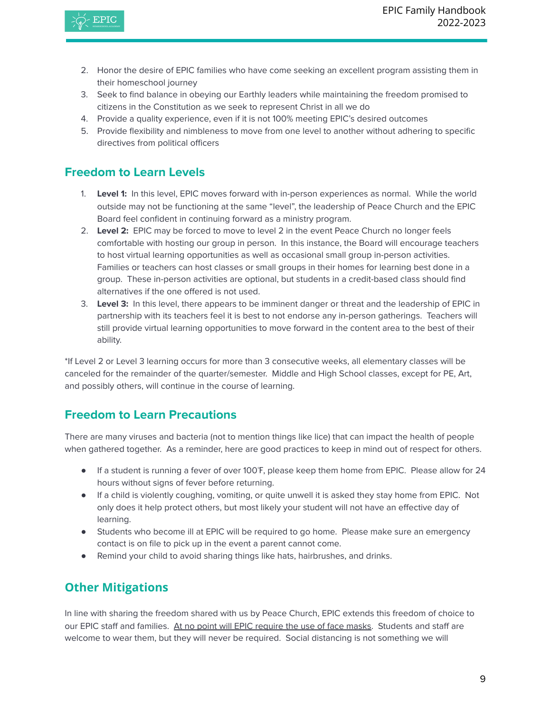

- 2. Honor the desire of EPIC families who have come seeking an excellent program assisting them in their homeschool journey
- 3. Seek to find balance in obeying our Earthly leaders while maintaining the freedom promised to citizens in the Constitution as we seek to represent Christ in all we do
- 4. Provide a quality experience, even if it is not 100% meeting EPIC's desired outcomes
- 5. Provide flexibility and nimbleness to move from one level to another without adhering to specific directives from political officers

## **Freedom to Learn Levels**

- 1. **Level 1:** In this level, EPIC moves forward with in-person experiences as normal. While the world outside may not be functioning at the same "level", the leadership of Peace Church and the EPIC Board feel confident in continuing forward as a ministry program.
- 2. **Level 2:** EPIC may be forced to move to level 2 in the event Peace Church no longer feels comfortable with hosting our group in person. In this instance, the Board will encourage teachers to host virtual learning opportunities as well as occasional small group in-person activities. Families or teachers can host classes or small groups in their homes for learning best done in a group. These in-person activities are optional, but students in a credit-based class should find alternatives if the one offered is not used.
- 3. **Level 3:** In this level, there appears to be imminent danger or threat and the leadership of EPIC in partnership with its teachers feel it is best to not endorse any in-person gatherings. Teachers will still provide virtual learning opportunities to move forward in the content area to the best of their ability.

\*If Level 2 or Level 3 learning occurs for more than 3 consecutive weeks, all elementary classes will be canceled for the remainder of the quarter/semester. Middle and High School classes, except for PE, Art, and possibly others, will continue in the course of learning.

## **Freedom to Learn Precautions**

There are many viruses and bacteria (not to mention things like lice) that can impact the health of people when gathered together. As a reminder, here are good practices to keep in mind out of respect for others.

- If a student is running a fever of over 100°F, please keep them home from EPIC. Please allow for 24 hours without signs of fever before returning.
- If a child is violently coughing, vomiting, or quite unwell it is asked they stay home from EPIC. Not only does it help protect others, but most likely your student will not have an effective day of learning.
- Students who become ill at EPIC will be required to go home. Please make sure an emergency contact is on file to pick up in the event a parent cannot come.
- Remind your child to avoid sharing things like hats, hairbrushes, and drinks.

## **Other Mitigations**

In line with sharing the freedom shared with us by Peace Church, EPIC extends this freedom of choice to our EPIC staff and families. At no point will EPIC require the use of face masks. Students and staff are welcome to wear them, but they will never be required. Social distancing is not something we will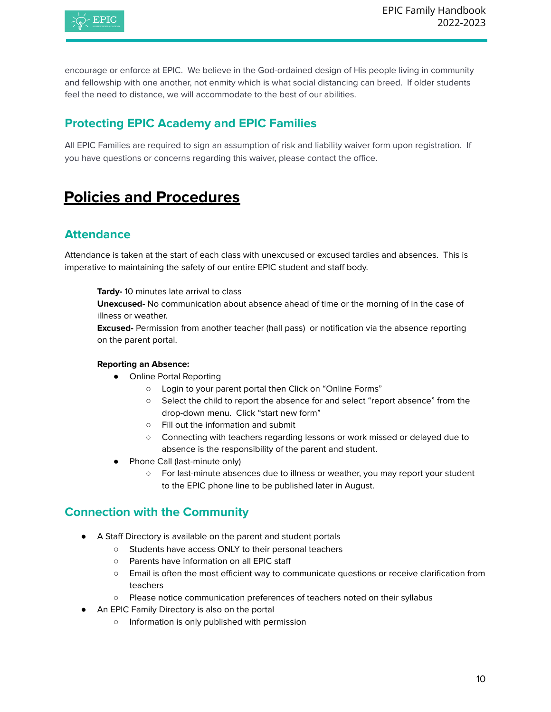

encourage or enforce at EPIC. We believe in the God-ordained design of His people living in community and fellowship with one another, not enmity which is what social distancing can breed. If older students feel the need to distance, we will accommodate to the best of our abilities.

## **Protecting EPIC Academy and EPIC Families**

All EPIC Families are required to sign an assumption of risk and liability waiver form upon registration. If you have questions or concerns regarding this waiver, please contact the office.

# <span id="page-9-0"></span>**Policies and Procedures**

## **Attendance**

Attendance is taken at the start of each class with unexcused or excused tardies and absences. This is imperative to maintaining the safety of our entire EPIC student and staff body.

**Tardy-** 10 minutes late arrival to class

**Unexcused**- No communication about absence ahead of time or the morning of in the case of illness or weather.

**Excused-** Permission from another teacher (hall pass) or notification via the absence reporting on the parent portal.

#### **Reporting an Absence:**

- Online Portal Reporting
	- Login to your parent portal then Click on "Online Forms"
	- Select the child to report the absence for and select "report absence" from the drop-down menu. Click "start new form"
	- Fill out the information and submit
	- Connecting with teachers regarding lessons or work missed or delayed due to absence is the responsibility of the parent and student.
- Phone Call (last-minute only)
	- For last-minute absences due to illness or weather, you may report your student to the EPIC phone line to be published later in August.

### **Connection with the Community**

- A Staff Directory is available on the parent and student portals
	- Students have access ONLY to their personal teachers
	- Parents have information on all EPIC staff
	- Email is often the most efficient way to communicate questions or receive clarification from teachers
	- Please notice communication preferences of teachers noted on their syllabus
- An EPIC Family Directory is also on the portal
	- Information is only published with permission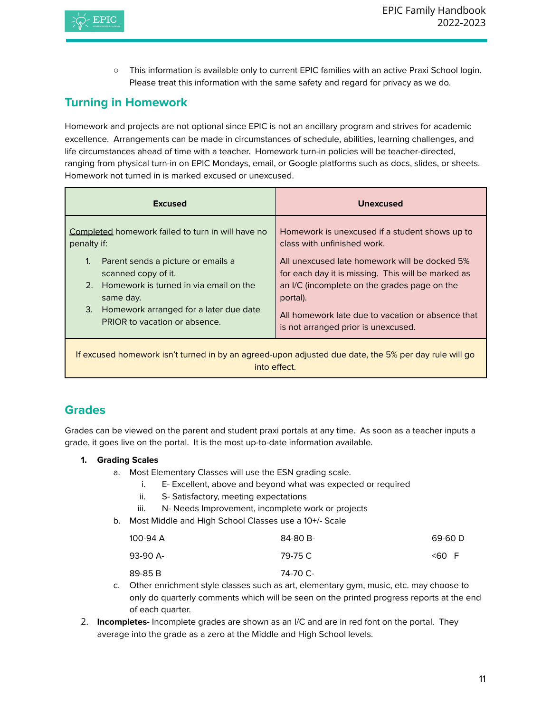

○ This information is available only to current EPIC families with an active Praxi School login. Please treat this information with the same safety and regard for privacy as we do.

## **Turning in Homework**

Homework and projects are not optional since EPIC is not an ancillary program and strives for academic excellence. Arrangements can be made in circumstances of schedule, abilities, learning challenges, and life circumstances ahead of time with a teacher. Homework turn-in policies will be teacher-directed, ranging from physical turn-in on EPIC Mondays, email, or Google platforms such as docs, slides, or sheets. Homework not turned in is marked excused or unexcused.

| <b>Excused</b>                                                                                                                                                                                                                                                                           | Unexcused                                                                                                                                                                                                                                                                                                                                    |
|------------------------------------------------------------------------------------------------------------------------------------------------------------------------------------------------------------------------------------------------------------------------------------------|----------------------------------------------------------------------------------------------------------------------------------------------------------------------------------------------------------------------------------------------------------------------------------------------------------------------------------------------|
| Completed homework failed to turn in will have no<br>penalty if:<br>$\mathbf{1}$<br>Parent sends a picture or emails a<br>scanned copy of it.<br>2. Homework is turned in via email on the<br>same day.<br>Homework arranged for a later due date<br>3.<br>PRIOR to vacation or absence. | Homework is unexcused if a student shows up to<br>class with unfinished work.<br>All unexcused late homework will be docked 5%<br>for each day it is missing. This will be marked as<br>an I/C (incomplete on the grades page on the<br>portal).<br>All homework late due to vacation or absence that<br>is not arranged prior is unexcused. |
|                                                                                                                                                                                                                                                                                          |                                                                                                                                                                                                                                                                                                                                              |

If excused homework isn't turned in by an agreed-upon adjusted due date, the 5% per day rule will go into effect.

## <span id="page-10-0"></span>**Grades**

Grades can be viewed on the parent and student praxi portals at any time. As soon as a teacher inputs a grade, it goes live on the portal. It is the most up-to-date information available.

- **1. Grading Scales**
	- a. Most Elementary Classes will use the ESN grading scale.
		- i. E- Excellent, above and beyond what was expected or required
		- ii. S- Satisfactory, meeting expectations
		- iii. N- Needs Improvement, incomplete work or projects
	- b. Most Middle and High School Classes use a 10+/- Scale

| 100-94 A | 84-80 B- | 69-60 D |
|----------|----------|---------|
| 93-90 A- | 79-75 C  | <60 F   |
| 89-85 B  | 74-70 C- |         |

- c. Other enrichment style classes such as art, elementary gym, music, etc. may choose to only do quarterly comments which will be seen on the printed progress reports at the end of each quarter.
- 2. **Incompletes-** Incomplete grades are shown as an I/C and are in red font on the portal. They average into the grade as a zero at the Middle and High School levels.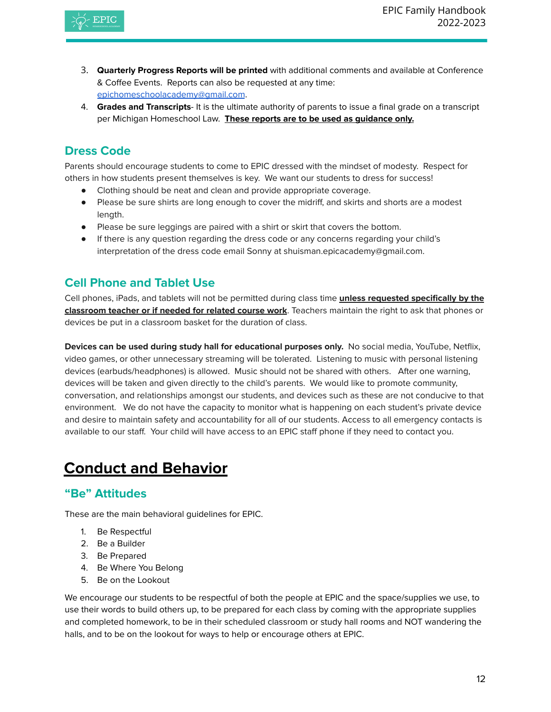

- 3. **Quarterly Progress Reports will be printed** with additional comments and available at Conference & Coffee Events. Reports can also be requested at any time: [epichomeschoolacademy@gmail.com](mailto:epichomeschoolacademy@gmail.com).
- 4. **Grades and Transcripts** It is the ultimate authority of parents to issue a final grade on a transcript per Michigan Homeschool Law. **These reports are to be used as guidance only.**

## <span id="page-11-0"></span>**Dress Code**

Parents should encourage students to come to EPIC dressed with the mindset of modesty. Respect for others in how students present themselves is key. We want our students to dress for success!

- Clothing should be neat and clean and provide appropriate coverage.
- Please be sure shirts are long enough to cover the midriff, and skirts and shorts are a modest length.
- Please be sure leggings are paired with a shirt or skirt that covers the bottom.
- If there is any question regarding the dress code or any concerns regarding your child's interpretation of the dress code email Sonny at shuisman.epicacademy@gmail.com.

## <span id="page-11-1"></span>**Cell Phone and Tablet Use**

Cell phones, iPads, and tablets will not be permitted during class time **unless requested specifically by the classroom teacher or if needed for related course work**. Teachers maintain the right to ask that phones or devices be put in a classroom basket for the duration of class.

**Devices can be used during study hall for educational purposes only.** No social media, YouTube, Netflix, video games, or other unnecessary streaming will be tolerated. Listening to music with personal listening devices (earbuds/headphones) is allowed. Music should not be shared with others. After one warning, devices will be taken and given directly to the child's parents. We would like to promote community, conversation, and relationships amongst our students, and devices such as these are not conducive to that environment. We do not have the capacity to monitor what is happening on each student's private device and desire to maintain safety and accountability for all of our students. Access to all emergency contacts is available to our staff. Your child will have access to an EPIC staff phone if they need to contact you.

# <span id="page-11-2"></span>**Conduct and Behavior**

## **"Be" Attitudes**

These are the main behavioral guidelines for EPIC.

- 1. Be Respectful
- 2. Be a Builder
- 3. Be Prepared
- 4. Be Where You Belong
- 5. Be on the Lookout

We encourage our students to be respectful of both the people at EPIC and the space/supplies we use, to use their words to build others up, to be prepared for each class by coming with the appropriate supplies and completed homework, to be in their scheduled classroom or study hall rooms and NOT wandering the halls, and to be on the lookout for ways to help or encourage others at EPIC.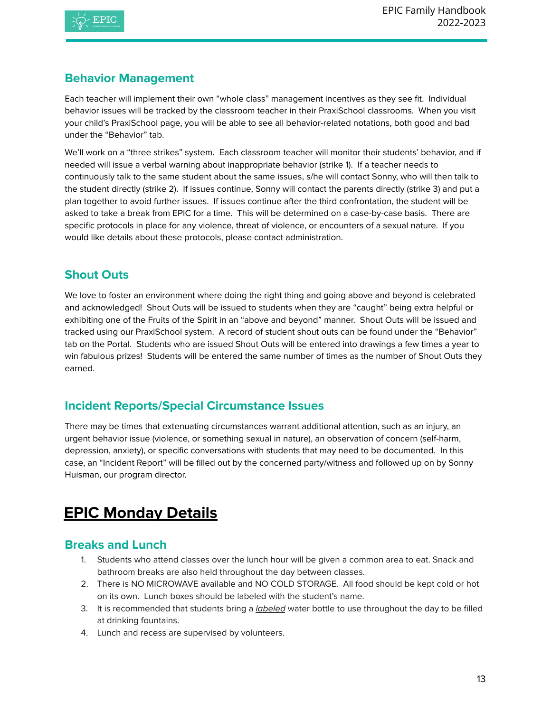

## **Behavior Management**

Each teacher will implement their own "whole class" management incentives as they see fit. Individual behavior issues will be tracked by the classroom teacher in their PraxiSchool classrooms. When you visit your child's PraxiSchool page, you will be able to see all behavior-related notations, both good and bad under the "Behavior" tab.

We'll work on a "three strikes" system. Each classroom teacher will monitor their students' behavior, and if needed will issue a verbal warning about inappropriate behavior (strike 1). If a teacher needs to continuously talk to the same student about the same issues, s/he will contact Sonny, who will then talk to the student directly (strike 2). If issues continue, Sonny will contact the parents directly (strike 3) and put a plan together to avoid further issues. If issues continue after the third confrontation, the student will be asked to take a break from EPIC for a time. This will be determined on a case-by-case basis. There are specific protocols in place for any violence, threat of violence, or encounters of a sexual nature. If you would like details about these protocols, please contact administration.

## **Shout Outs**

We love to foster an environment where doing the right thing and going above and beyond is celebrated and acknowledged! Shout Outs will be issued to students when they are "caught" being extra helpful or exhibiting one of the Fruits of the Spirit in an "above and beyond" manner. Shout Outs will be issued and tracked using our PraxiSchool system. A record of student shout outs can be found under the "Behavior" tab on the Portal. Students who are issued Shout Outs will be entered into drawings a few times a year to win fabulous prizes! Students will be entered the same number of times as the number of Shout Outs they earned.

## **Incident Reports/Special Circumstance Issues**

There may be times that extenuating circumstances warrant additional attention, such as an injury, an urgent behavior issue (violence, or something sexual in nature), an observation of concern (self-harm, depression, anxiety), or specific conversations with students that may need to be documented. In this case, an "Incident Report" will be filled out by the concerned party/witness and followed up on by Sonny Huisman, our program director.

# <span id="page-12-0"></span>**EPIC Monday Details**

## **Breaks and Lunch**

- 1. Students who attend classes over the lunch hour will be given a common area to eat. Snack and bathroom breaks are also held throughout the day between classes.
- 2. There is NO MICROWAVE available and NO COLD STORAGE. All food should be kept cold or hot on its own. Lunch boxes should be labeled with the student's name.
- 3. It is recommended that students bring a *labeled* water bottle to use throughout the day to be filled at drinking fountains.
- 4. Lunch and recess are supervised by volunteers.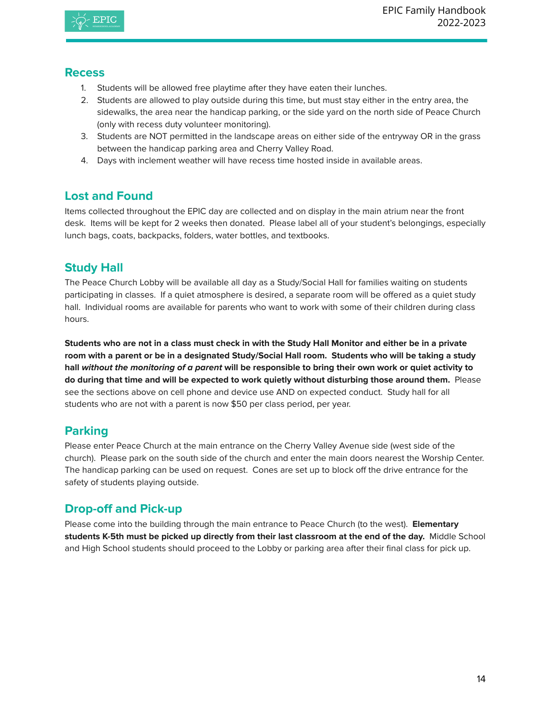

#### **Recess**

- 1. Students will be allowed free playtime after they have eaten their lunches.
- 2. Students are allowed to play outside during this time, but must stay either in the entry area, the sidewalks, the area near the handicap parking, or the side yard on the north side of Peace Church (only with recess duty volunteer monitoring).
- 3. Students are NOT permitted in the landscape areas on either side of the entryway OR in the grass between the handicap parking area and Cherry Valley Road.
- 4. Days with inclement weather will have recess time hosted inside in available areas.

## **Lost and Found**

Items collected throughout the EPIC day are collected and on display in the main atrium near the front desk. Items will be kept for 2 weeks then donated. Please label all of your student's belongings, especially lunch bags, coats, backpacks, folders, water bottles, and textbooks.

## **Study Hall**

The Peace Church Lobby will be available all day as a Study/Social Hall for families waiting on students participating in classes. If a quiet atmosphere is desired, a separate room will be offered as a quiet study hall. Individual rooms are available for parents who want to work with some of their children during class hours.

Students who are not in a class must check in with the Study Hall Monitor and either be in a private room with a parent or be in a designated Study/Social Hall room. Students who will be taking a study hall without the monitoring of a parent will be responsible to bring their own work or quiet activity to **do during that time and will be expected to work quietly without disturbing those around them.** Please see the sections above on cell phone and device use AND on expected conduct. Study hall for all students who are not with a parent is now \$50 per class period, per year.

## **Parking**

Please enter Peace Church at the main entrance on the Cherry Valley Avenue side (west side of the church). Please park on the south side of the church and enter the main doors nearest the Worship Center. The handicap parking can be used on request. Cones are set up to block off the drive entrance for the safety of students playing outside.

## **Drop-off and Pick-up**

Please come into the building through the main entrance to Peace Church (to the west). **Elementary students K-5th must be picked up directly from their last classroom at the end of the day.** Middle School and High School students should proceed to the Lobby or parking area after their final class for pick up.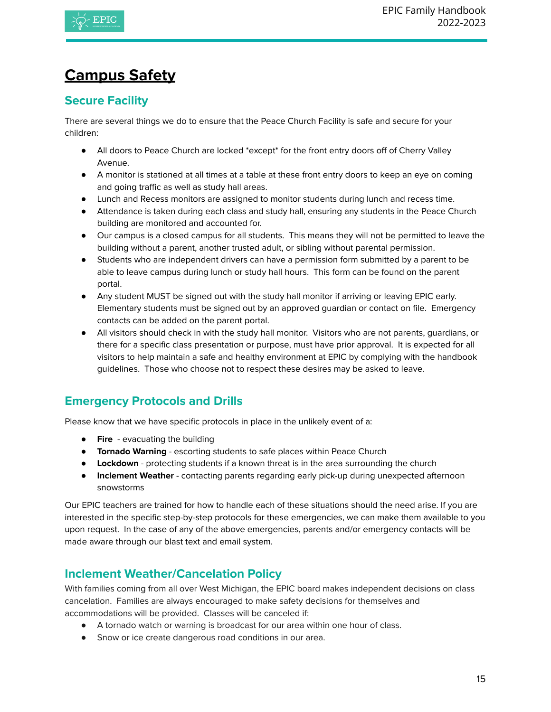

# <span id="page-14-0"></span>**Campus Safety**

## **Secure Facility**

There are several things we do to ensure that the Peace Church Facility is safe and secure for your children:

- All doors to Peace Church are locked \*except\* for the front entry doors off of Cherry Valley Avenue.
- A monitor is stationed at all times at a table at these front entry doors to keep an eye on coming and going traffic as well as study hall areas.
- Lunch and Recess monitors are assigned to monitor students during lunch and recess time.
- Attendance is taken during each class and study hall, ensuring any students in the Peace Church building are monitored and accounted for.
- Our campus is a closed campus for all students. This means they will not be permitted to leave the building without a parent, another trusted adult, or sibling without parental permission.
- Students who are independent drivers can have a permission form submitted by a parent to be able to leave campus during lunch or study hall hours. This form can be found on the parent portal.
- Any student MUST be signed out with the study hall monitor if arriving or leaving EPIC early. Elementary students must be signed out by an approved guardian or contact on file. Emergency contacts can be added on the parent portal.
- All visitors should check in with the study hall monitor. Visitors who are not parents, guardians, or there for a specific class presentation or purpose, must have prior approval. It is expected for all visitors to help maintain a safe and healthy environment at EPIC by complying with the handbook guidelines. Those who choose not to respect these desires may be asked to leave.

## **Emergency Protocols and Drills**

Please know that we have specific protocols in place in the unlikely event of a:

- **Fire** evacuating the building
- **Tornado Warning** escorting students to safe places within Peace Church
- **Lockdown** protecting students if a known threat is in the area surrounding the church
- **Inclement Weather** contacting parents regarding early pick-up during unexpected afternoon snowstorms

Our EPIC teachers are trained for how to handle each of these situations should the need arise. If you are interested in the specific step-by-step protocols for these emergencies, we can make them available to you upon request. In the case of any of the above emergencies, parents and/or emergency contacts will be made aware through our blast text and email system.

## <span id="page-14-1"></span>**Inclement Weather/Cancelation Policy**

With families coming from all over West Michigan, the EPIC board makes independent decisions on class cancelation. Families are always encouraged to make safety decisions for themselves and accommodations will be provided. Classes will be canceled if:

- A tornado watch or warning is broadcast for our area within one hour of class.
- Snow or ice create dangerous road conditions in our area.